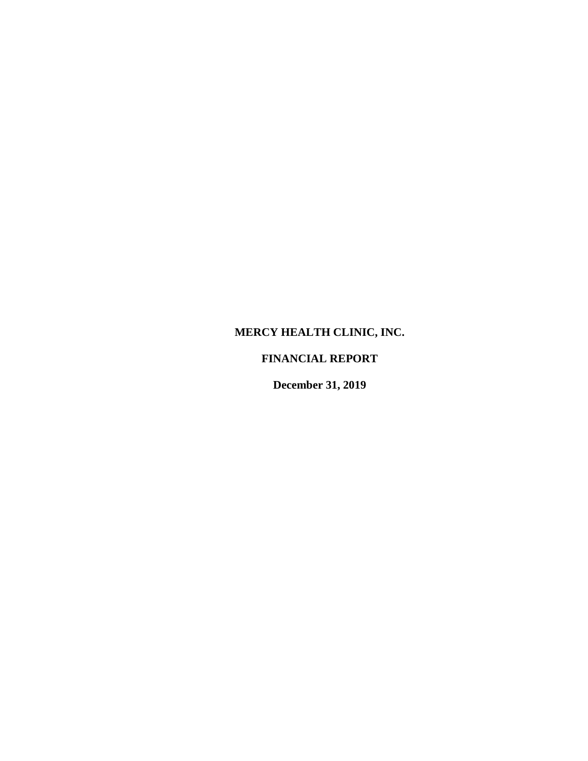# **MERCY HEALTH CLINIC, INC.**

## **FINANCIAL REPORT**

**December 31, 2019**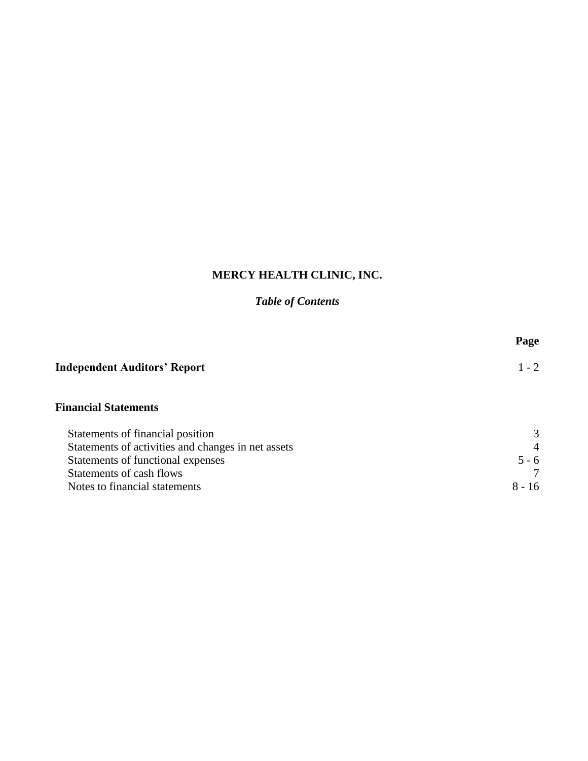# **MERCY HEALTH CLINIC, INC.**

# *Table of Contents*

|                                                    | Page     |
|----------------------------------------------------|----------|
| <b>Independent Auditors' Report</b>                | $1 - 2$  |
| <b>Financial Statements</b>                        |          |
| Statements of financial position                   | 3        |
| Statements of activities and changes in net assets | 4        |
| Statements of functional expenses                  | $5 - 6$  |
| Statements of cash flows                           |          |
| Notes to financial statements                      | $8 - 16$ |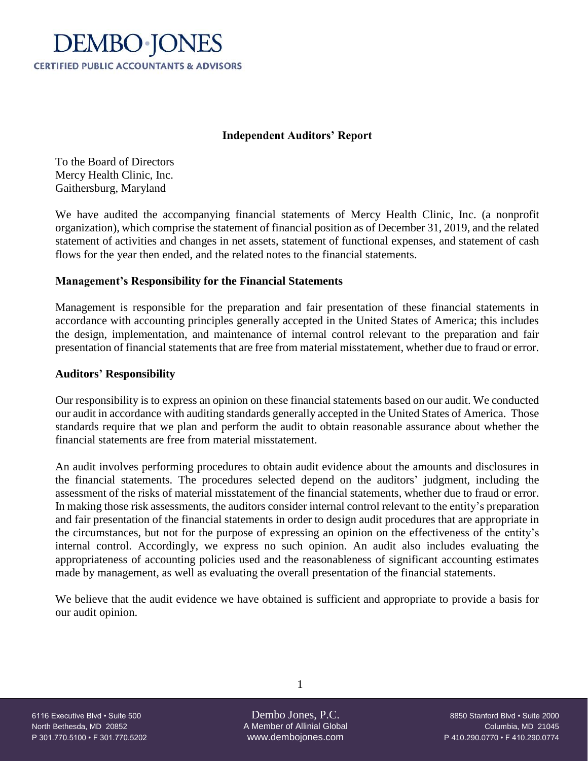

### **Independent Auditors' Report**

To the Board of Directors Mercy Health Clinic, Inc. Gaithersburg, Maryland

We have audited the accompanying financial statements of Mercy Health Clinic, Inc. (a nonprofit organization), which comprise the statement of financial position as of December 31, 2019, and the related statement of activities and changes in net assets, statement of functional expenses, and statement of cash flows for the year then ended, and the related notes to the financial statements.

### **Management's Responsibility for the Financial Statements**

Management is responsible for the preparation and fair presentation of these financial statements in accordance with accounting principles generally accepted in the United States of America; this includes the design, implementation, and maintenance of internal control relevant to the preparation and fair presentation of financial statements that are free from material misstatement, whether due to fraud or error.

### **Auditors' Responsibility**

Our responsibility is to express an opinion on these financial statements based on our audit. We conducted our audit in accordance with auditing standards generally accepted in the United States of America. Those standards require that we plan and perform the audit to obtain reasonable assurance about whether the financial statements are free from material misstatement.

An audit involves performing procedures to obtain audit evidence about the amounts and disclosures in the financial statements. The procedures selected depend on the auditors' judgment, including the assessment of the risks of material misstatement of the financial statements, whether due to fraud or error. In making those risk assessments, the auditors consider internal control relevant to the entity's preparation and fair presentation of the financial statements in order to design audit procedures that are appropriate in the circumstances, but not for the purpose of expressing an opinion on the effectiveness of the entity's internal control. Accordingly, we express no such opinion. An audit also includes evaluating the appropriateness of accounting policies used and the reasonableness of significant accounting estimates made by management, as well as evaluating the overall presentation of the financial statements.

We believe that the audit evidence we have obtained is sufficient and appropriate to provide a basis for our audit opinion.

North Bethesda, MD 20852 A Member of Allinial Global Columbia, MD 20852 P 301.770.5100 • F 301.770.5202 www.dembojones.com P 410.290.0770 • F 410.290.0774

1

6116 Executive Blvd • Suite 500 Dembo Jones, P.C. 8850 Stanford Blvd • Suite 2000<br>8850 Stanford Blvd • Suite 2000 A Member of Allinial Global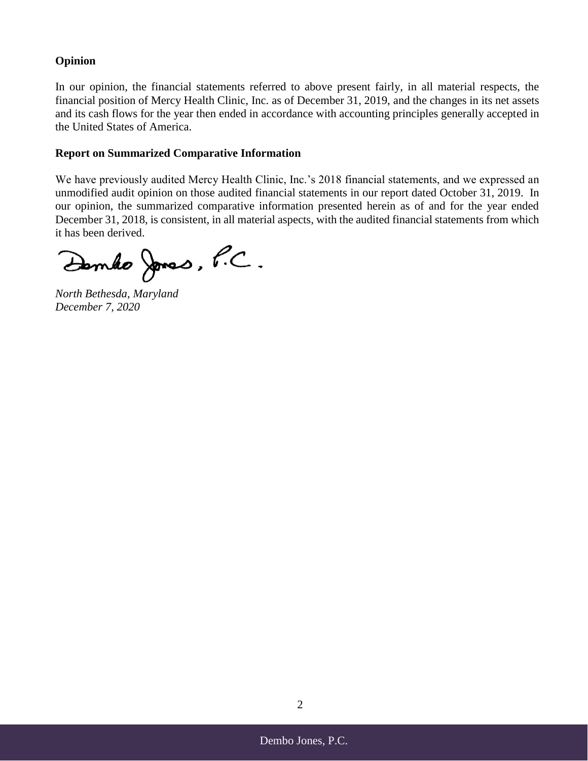### **Opinion**

In our opinion, the financial statements referred to above present fairly, in all material respects, the financial position of Mercy Health Clinic, Inc. as of December 31, 2019, and the changes in its net assets and its cash flows for the year then ended in accordance with accounting principles generally accepted in the United States of America.

### **Report on Summarized Comparative Information**

We have previously audited Mercy Health Clinic, Inc.'s 2018 financial statements, and we expressed an unmodified audit opinion on those audited financial statements in our report dated October 31, 2019. In our opinion, the summarized comparative information presented herein as of and for the year ended December 31, 2018, is consistent, in all material aspects, with the audited financial statements from which it has been derived.

Dembo Jones, P.C.

*North Bethesda, Maryland December 7, 2020*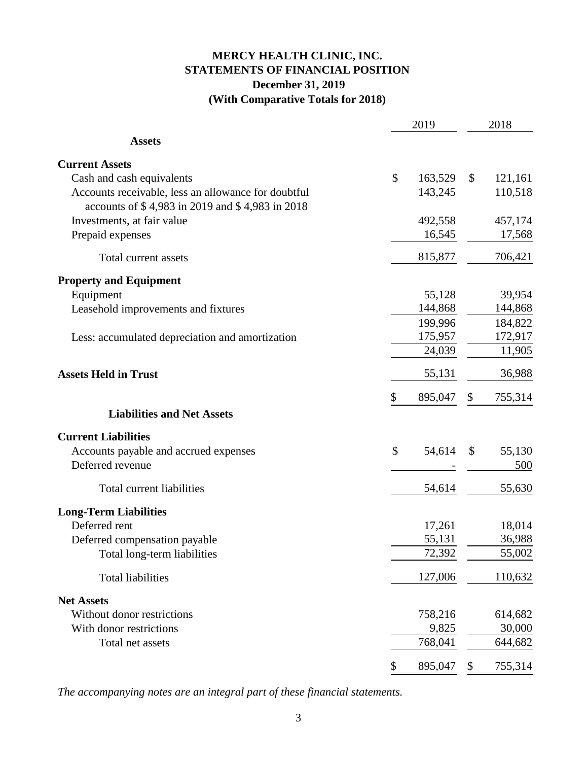# **MERCY HEALTH CLINIC, INC. STATEMENTS OF FINANCIAL POSITION December 31, 2019 (With Comparative Totals for 2018)**

|                                                                                                        | 2019          |              | 2018    |
|--------------------------------------------------------------------------------------------------------|---------------|--------------|---------|
| <b>Assets</b>                                                                                          |               |              |         |
| <b>Current Assets</b>                                                                                  |               |              |         |
| Cash and cash equivalents                                                                              | \$<br>163,529 | $\mathbb{S}$ | 121,161 |
| Accounts receivable, less an allowance for doubtful<br>accounts of \$4,983 in 2019 and \$4,983 in 2018 | 143,245       |              | 110,518 |
| Investments, at fair value                                                                             | 492,558       |              | 457,174 |
| Prepaid expenses                                                                                       | 16,545        |              | 17,568  |
| Total current assets                                                                                   | 815,877       |              | 706,421 |
| <b>Property and Equipment</b>                                                                          |               |              |         |
| Equipment                                                                                              | 55,128        |              | 39,954  |
| Leasehold improvements and fixtures                                                                    | 144,868       |              | 144,868 |
|                                                                                                        | 199,996       |              | 184,822 |
| Less: accumulated depreciation and amortization                                                        | 175,957       |              | 172,917 |
|                                                                                                        | 24,039        |              | 11,905  |
| <b>Assets Held in Trust</b>                                                                            | 55,131        |              | 36,988  |
|                                                                                                        | \$<br>895,047 | \$           | 755,314 |
| <b>Liabilities and Net Assets</b>                                                                      |               |              |         |
| <b>Current Liabilities</b>                                                                             |               |              |         |
| Accounts payable and accrued expenses                                                                  | \$<br>54,614  | \$           | 55,130  |
| Deferred revenue                                                                                       |               |              | 500     |
| Total current liabilities                                                                              | 54,614        |              | 55,630  |
| <b>Long-Term Liabilities</b>                                                                           |               |              |         |
| Deferred rent                                                                                          | 17,261        |              | 18,014  |
| Deferred compensation payable                                                                          | 55,131        |              | 36,988  |
| Total long-term liabilities                                                                            | 72,392        |              | 55,002  |
| <b>Total liabilities</b>                                                                               | 127,006       |              | 110,632 |
| <b>Net Assets</b>                                                                                      |               |              |         |
| Without donor restrictions                                                                             | 758,216       |              | 614,682 |
| With donor restrictions                                                                                | 9,825         |              | 30,000  |
| Total net assets                                                                                       | 768,041       |              | 644,682 |
|                                                                                                        | \$<br>895,047 | \$           | 755,314 |

*The accompanying notes are an integral part of these financial statements.*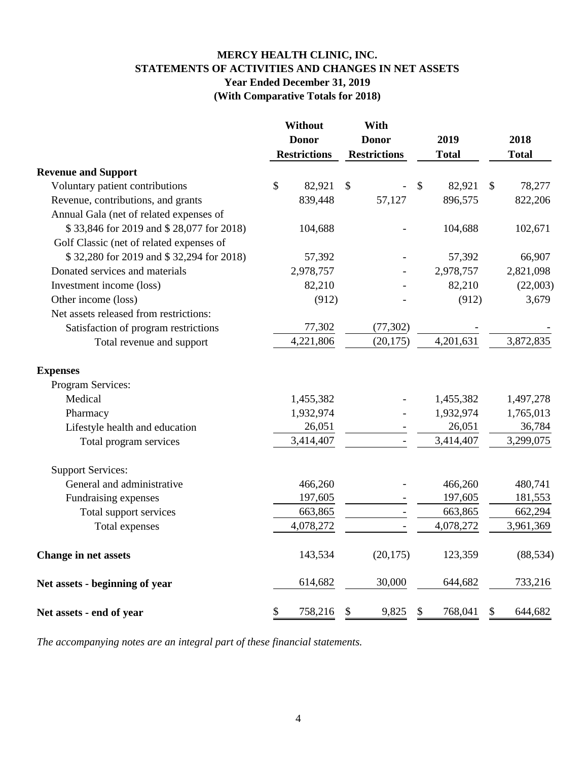### **MERCY HEALTH CLINIC, INC. STATEMENTS OF ACTIVITIES AND CHANGES IN NET ASSETS Year Ended December 31, 2019 (With Comparative Totals for 2018)**

|                                          |              | <b>Without</b>      | With                |                           |              |               |              |
|------------------------------------------|--------------|---------------------|---------------------|---------------------------|--------------|---------------|--------------|
|                                          | <b>Donor</b> |                     | <b>Donor</b>        |                           | 2019         |               | 2018         |
|                                          |              | <b>Restrictions</b> | <b>Restrictions</b> |                           | <b>Total</b> |               | <b>Total</b> |
| <b>Revenue and Support</b>               |              |                     |                     |                           |              |               |              |
| Voluntary patient contributions          | \$           | 82,921              | \$                  | $\boldsymbol{\mathsf{S}}$ | 82,921       | $\mathcal{S}$ | 78,277       |
| Revenue, contributions, and grants       |              | 839,448             | 57,127              |                           | 896,575      |               | 822,206      |
| Annual Gala (net of related expenses of  |              |                     |                     |                           |              |               |              |
| \$33,846 for 2019 and \$28,077 for 2018) |              | 104,688             |                     |                           | 104,688      |               | 102,671      |
| Golf Classic (net of related expenses of |              |                     |                     |                           |              |               |              |
| \$32,280 for 2019 and \$32,294 for 2018) |              | 57,392              |                     |                           | 57,392       |               | 66,907       |
| Donated services and materials           |              | 2,978,757           |                     |                           | 2,978,757    |               | 2,821,098    |
| Investment income (loss)                 |              | 82,210              |                     |                           | 82,210       |               | (22,003)     |
| Other income (loss)                      |              | (912)               |                     |                           | (912)        |               | 3,679        |
| Net assets released from restrictions:   |              |                     |                     |                           |              |               |              |
| Satisfaction of program restrictions     |              | 77,302              | (77, 302)           |                           |              |               |              |
| Total revenue and support                |              | 4,221,806           | (20, 175)           |                           | 4,201,631    |               | 3,872,835    |
| <b>Expenses</b>                          |              |                     |                     |                           |              |               |              |
| Program Services:                        |              |                     |                     |                           |              |               |              |
| Medical                                  |              | 1,455,382           |                     |                           | 1,455,382    |               | 1,497,278    |
| Pharmacy                                 |              | 1,932,974           |                     |                           | 1,932,974    |               | 1,765,013    |
| Lifestyle health and education           |              | 26,051              |                     |                           | 26,051       |               | 36,784       |
| Total program services                   |              | 3,414,407           |                     |                           | 3,414,407    |               | 3,299,075    |
| <b>Support Services:</b>                 |              |                     |                     |                           |              |               |              |
| General and administrative               |              | 466,260             |                     |                           | 466,260      |               | 480,741      |
| Fundraising expenses                     |              | 197,605             |                     |                           | 197,605      |               | 181,553      |
| Total support services                   |              | 663,865             |                     |                           | 663,865      |               | 662,294      |
| Total expenses                           |              | 4,078,272           |                     |                           | 4,078,272    |               | 3,961,369    |
| <b>Change in net assets</b>              |              | 143,534             | (20, 175)           |                           | 123,359      |               | (88, 534)    |
| Net assets - beginning of year           |              | 614,682             | 30,000              |                           | 644,682      |               | 733,216      |
| Net assets - end of year                 | \$           | 758,216             | \$<br>9,825         | \$                        | 768,041      | \$            | 644,682      |

*The accompanying notes are an integral part of these financial statements.*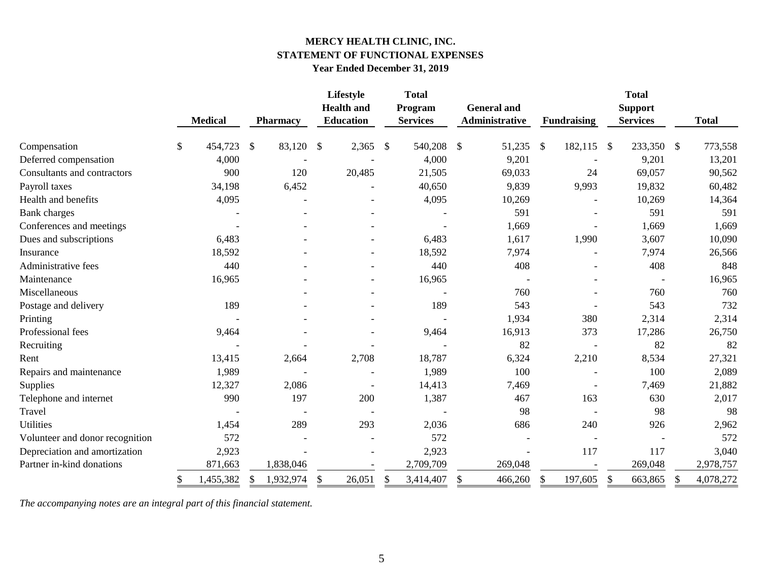### **MERCY HEALTH CLINIC, INC. STATEMENT OF FUNCTIONAL EXPENSES Year Ended December 31, 2019**

|                                 |               |                |               |                 |               | Lifestyle<br><b>Health</b> and |                         | <b>Total</b><br>Program |               | <b>General and</b>    |               |                    |               | <b>Total</b><br><b>Support</b> |               |              |
|---------------------------------|---------------|----------------|---------------|-----------------|---------------|--------------------------------|-------------------------|-------------------------|---------------|-----------------------|---------------|--------------------|---------------|--------------------------------|---------------|--------------|
|                                 |               | <b>Medical</b> |               | <b>Pharmacy</b> |               | <b>Education</b>               |                         | <b>Services</b>         |               | <b>Administrative</b> |               | <b>Fundraising</b> |               | <b>Services</b>                |               | <b>Total</b> |
| Compensation                    | $\mathcal{S}$ | 454,723        | $\mathcal{S}$ | 83,120          | $\mathcal{S}$ | 2,365                          | $\sqrt[6]{\frac{1}{2}}$ | 540,208                 | $\mathcal{S}$ | 51,235                | $\mathcal{S}$ | 182,115            | $\mathcal{S}$ | 233,350                        | $\mathcal{S}$ | 773,558      |
| Deferred compensation           |               | 4,000          |               |                 |               |                                |                         | 4,000                   |               | 9,201                 |               |                    |               | 9,201                          |               | 13,201       |
| Consultants and contractors     |               | 900            |               | 120             |               | 20,485                         |                         | 21,505                  |               | 69,033                |               | 24                 |               | 69,057                         |               | 90,562       |
| Payroll taxes                   |               | 34,198         |               | 6,452           |               |                                |                         | 40,650                  |               | 9,839                 |               | 9,993              |               | 19,832                         |               | 60,482       |
| Health and benefits             |               | 4,095          |               |                 |               |                                |                         | 4,095                   |               | 10,269                |               |                    |               | 10,269                         |               | 14,364       |
| <b>Bank</b> charges             |               |                |               |                 |               |                                |                         |                         |               | 591                   |               |                    |               | 591                            |               | 591          |
| Conferences and meetings        |               |                |               |                 |               |                                |                         |                         |               | 1,669                 |               |                    |               | 1,669                          |               | 1,669        |
| Dues and subscriptions          |               | 6,483          |               |                 |               |                                |                         | 6,483                   |               | 1,617                 |               | 1,990              |               | 3,607                          |               | 10,090       |
| Insurance                       |               | 18,592         |               |                 |               |                                |                         | 18,592                  |               | 7,974                 |               |                    |               | 7,974                          |               | 26,566       |
| Administrative fees             |               | 440            |               |                 |               |                                |                         | 440                     |               | 408                   |               |                    |               | 408                            |               | 848          |
| Maintenance                     |               | 16,965         |               |                 |               |                                |                         | 16,965                  |               |                       |               |                    |               |                                |               | 16,965       |
| Miscellaneous                   |               |                |               |                 |               |                                |                         |                         |               | 760                   |               |                    |               | 760                            |               | 760          |
| Postage and delivery            |               | 189            |               |                 |               |                                |                         | 189                     |               | 543                   |               |                    |               | 543                            |               | 732          |
| Printing                        |               |                |               |                 |               |                                |                         |                         |               | 1,934                 |               | 380                |               | 2,314                          |               | 2,314        |
| Professional fees               |               | 9,464          |               |                 |               |                                |                         | 9,464                   |               | 16,913                |               | 373                |               | 17,286                         |               | 26,750       |
| Recruiting                      |               |                |               |                 |               |                                |                         |                         |               | 82                    |               |                    |               | 82                             |               | 82           |
| Rent                            |               | 13,415         |               | 2,664           |               | 2,708                          |                         | 18,787                  |               | 6,324                 |               | 2,210              |               | 8,534                          |               | 27,321       |
| Repairs and maintenance         |               | 1,989          |               |                 |               |                                |                         | 1,989                   |               | 100                   |               |                    |               | 100                            |               | 2,089        |
| Supplies                        |               | 12,327         |               | 2,086           |               |                                |                         | 14,413                  |               | 7,469                 |               |                    |               | 7,469                          |               | 21,882       |
| Telephone and internet          |               | 990            |               | 197             |               | 200                            |                         | 1,387                   |               | 467                   |               | 163                |               | 630                            |               | 2,017        |
| Travel                          |               |                |               |                 |               |                                |                         |                         |               | 98                    |               |                    |               | 98                             |               | 98           |
| <b>Utilities</b>                |               | 1,454          |               | 289             |               | 293                            |                         | 2,036                   |               | 686                   |               | 240                |               | 926                            |               | 2,962        |
| Volunteer and donor recognition |               | 572            |               |                 |               |                                |                         | 572                     |               |                       |               |                    |               |                                |               | 572          |
| Depreciation and amortization   |               | 2,923          |               |                 |               |                                |                         | 2,923                   |               |                       |               | 117                |               | 117                            |               | 3,040        |
| Partner in-kind donations       |               | 871,663        |               | 1,838,046       |               |                                |                         | 2,709,709               |               | 269,048               |               |                    |               | 269,048                        |               | 2,978,757    |
|                                 | \$            | 1,455,382      | S.            | 1,932,974       | \$            | 26,051                         | \$                      | 3,414,407               | \$            | 466,260               | \$            | 197,605            | $\mathbb{S}$  | 663,865                        | \$            | 4,078,272    |

*The accompanying notes are an integral part of this financial statement.*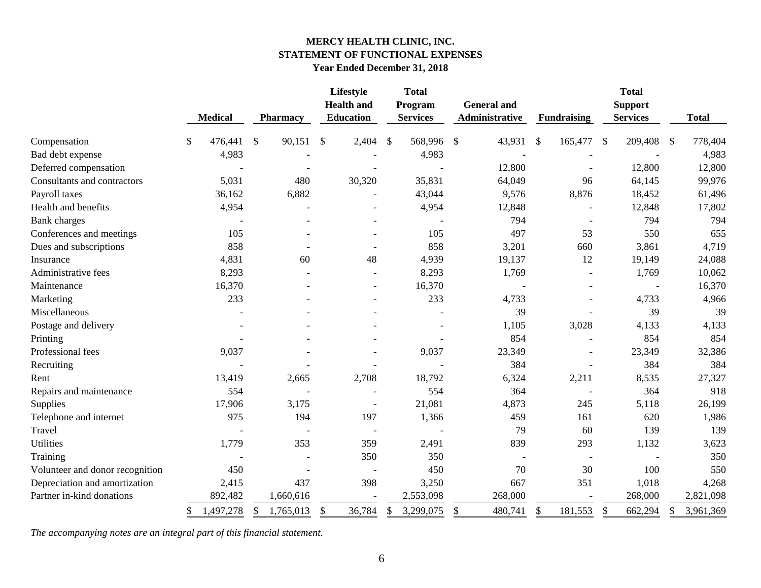### **MERCY HEALTH CLINIC, INC. STATEMENT OF FUNCTIONAL EXPENSES Year Ended December 31, 2018**

|                                 | <b>Medical</b> |              | <b>Pharmacy</b> |               | Lifestyle<br><b>Health</b> and<br><b>Education</b> |     | <b>Total</b><br>Program<br><b>Services</b> |               | <b>General and</b><br>Administrative |    | <b>Fundraising</b>       |      | <b>Total</b><br><b>Support</b><br><b>Services</b> |               | <b>Total</b> |
|---------------------------------|----------------|--------------|-----------------|---------------|----------------------------------------------------|-----|--------------------------------------------|---------------|--------------------------------------|----|--------------------------|------|---------------------------------------------------|---------------|--------------|
| Compensation                    | \$<br>476,441  | $\mathbb{S}$ | 90,151          | <sup>\$</sup> | 2,404                                              | -\$ | 568,996 \$                                 |               | 43,931                               | -S | 165,477                  | - \$ | 209,408                                           | $\mathcal{S}$ | 778,404      |
| Bad debt expense                | 4,983          |              |                 |               |                                                    |     | 4,983                                      |               |                                      |    |                          |      |                                                   |               | 4,983        |
| Deferred compensation           |                |              |                 |               |                                                    |     |                                            |               | 12,800                               |    |                          |      | 12,800                                            |               | 12,800       |
| Consultants and contractors     | 5,031          |              | 480             |               | 30,320                                             |     | 35,831                                     |               | 64,049                               |    | 96                       |      | 64,145                                            |               | 99,976       |
| Payroll taxes                   | 36,162         |              | 6,882           |               |                                                    |     | 43,044                                     |               | 9,576                                |    | 8,876                    |      | 18,452                                            |               | 61,496       |
| Health and benefits             | 4,954          |              |                 |               |                                                    |     | 4,954                                      |               | 12,848                               |    |                          |      | 12,848                                            |               | 17,802       |
| <b>Bank</b> charges             |                |              |                 |               |                                                    |     |                                            |               | 794                                  |    |                          |      | 794                                               |               | 794          |
| Conferences and meetings        | 105            |              |                 |               |                                                    |     | 105                                        |               | 497                                  |    | 53                       |      | 550                                               |               | 655          |
| Dues and subscriptions          | 858            |              |                 |               |                                                    |     | 858                                        |               | 3,201                                |    | 660                      |      | 3,861                                             |               | 4,719        |
| Insurance                       | 4,831          |              | 60              |               | 48                                                 |     | 4,939                                      |               | 19,137                               |    | 12                       |      | 19,149                                            |               | 24,088       |
| Administrative fees             | 8,293          |              |                 |               |                                                    |     | 8,293                                      |               | 1,769                                |    |                          |      | 1,769                                             |               | 10,062       |
| Maintenance                     | 16,370         |              |                 |               |                                                    |     | 16,370                                     |               |                                      |    |                          |      |                                                   |               | 16,370       |
| Marketing                       | 233            |              |                 |               |                                                    |     | 233                                        |               | 4,733                                |    |                          |      | 4,733                                             |               | 4,966        |
| Miscellaneous                   |                |              |                 |               |                                                    |     |                                            |               | 39                                   |    |                          |      | 39                                                |               | 39           |
| Postage and delivery            |                |              |                 |               |                                                    |     |                                            |               | 1,105                                |    | 3,028                    |      | 4,133                                             |               | 4,133        |
| Printing                        |                |              |                 |               |                                                    |     |                                            |               | 854                                  |    |                          |      | 854                                               |               | 854          |
| Professional fees               | 9,037          |              |                 |               |                                                    |     | 9,037                                      |               | 23,349                               |    | $\blacksquare$           |      | 23,349                                            |               | 32,386       |
| Recruiting                      |                |              |                 |               |                                                    |     |                                            |               | 384                                  |    |                          |      | 384                                               |               | 384          |
| Rent                            | 13,419         |              | 2,665           |               | 2,708                                              |     | 18,792                                     |               | 6,324                                |    | 2,211                    |      | 8,535                                             |               | 27,327       |
| Repairs and maintenance         | 554            |              |                 |               |                                                    |     | 554                                        |               | 364                                  |    |                          |      | 364                                               |               | 918          |
| Supplies                        | 17,906         |              | 3,175           |               |                                                    |     | 21,081                                     |               | 4,873                                |    | 245                      |      | 5,118                                             |               | 26,199       |
| Telephone and internet          | 975            |              | 194             |               | 197                                                |     | 1,366                                      |               | 459                                  |    | 161                      |      | 620                                               |               | 1,986        |
| Travel                          |                |              |                 |               | $\overline{\phantom{a}}$                           |     |                                            |               | 79                                   |    | 60                       |      | 139                                               |               | 139          |
| <b>Utilities</b>                | 1,779          |              | 353             |               | 359                                                |     | 2,491                                      |               | 839                                  |    | 293                      |      | 1,132                                             |               | 3,623        |
| Training                        |                |              |                 |               | 350                                                |     | 350                                        |               | $\overline{\phantom{a}}$             |    | $\overline{\phantom{a}}$ |      |                                                   |               | 350          |
| Volunteer and donor recognition | 450            |              |                 |               |                                                    |     | 450                                        |               | 70                                   |    | 30                       |      | 100                                               |               | 550          |
| Depreciation and amortization   | 2,415          |              | 437             |               | 398                                                |     | 3,250                                      |               | 667                                  |    | 351                      |      | 1,018                                             |               | 4,268        |
| Partner in-kind donations       | 892,482        |              | 1,660,616       |               |                                                    |     | 2,553,098                                  |               | 268,000                              |    |                          |      | 268,000                                           |               | 2,821,098    |
|                                 | 1,497,278      |              | 1,765,013       | S.            | 36,784                                             |     | 3,299,075                                  | <sup>\$</sup> | 480,741                              | \$ | 181,553                  |      | 662,294                                           |               | 3,961,369    |

*The accompanying notes are an integral part of this financial statement.*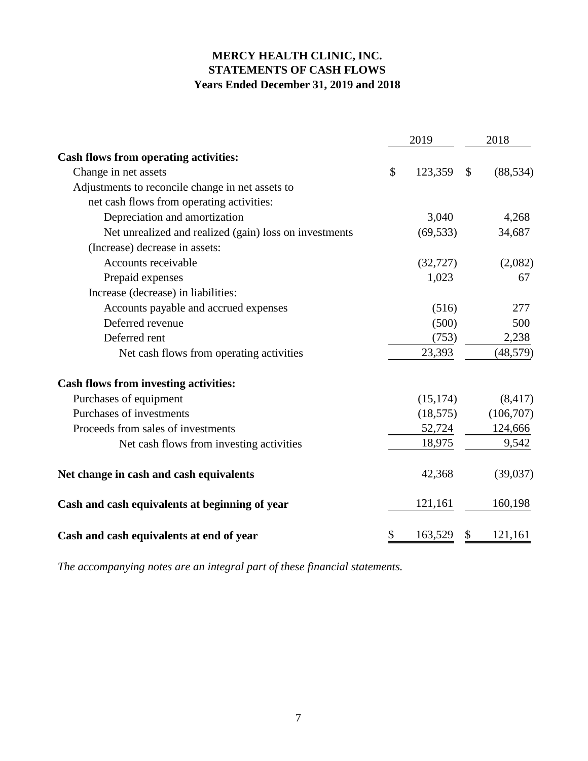# **MERCY HEALTH CLINIC, INC. STATEMENTS OF CASH FLOWS Years Ended December 31, 2019 and 2018**

|                                                        | 2019          | 2018            |
|--------------------------------------------------------|---------------|-----------------|
| <b>Cash flows from operating activities:</b>           |               |                 |
| Change in net assets                                   | \$<br>123,359 | \$<br>(88, 534) |
| Adjustments to reconcile change in net assets to       |               |                 |
| net cash flows from operating activities:              |               |                 |
| Depreciation and amortization                          | 3,040         | 4,268           |
| Net unrealized and realized (gain) loss on investments | (69, 533)     | 34,687          |
| (Increase) decrease in assets:                         |               |                 |
| Accounts receivable                                    | (32, 727)     | (2,082)         |
| Prepaid expenses                                       | 1,023         | 67              |
| Increase (decrease) in liabilities:                    |               |                 |
| Accounts payable and accrued expenses                  | (516)         | 277             |
| Deferred revenue                                       | (500)         | 500             |
| Deferred rent                                          | (753)         | 2,238           |
| Net cash flows from operating activities               | 23,393        | (48, 579)       |
| <b>Cash flows from investing activities:</b>           |               |                 |
| Purchases of equipment                                 | (15, 174)     | (8, 417)        |
| Purchases of investments                               | (18, 575)     | (106,707)       |
| Proceeds from sales of investments                     | 52,724        | 124,666         |
| Net cash flows from investing activities               | 18,975        | 9,542           |
| Net change in cash and cash equivalents                | 42,368        | (39,037)        |
| Cash and cash equivalents at beginning of year         | 121,161       | 160,198         |
| Cash and cash equivalents at end of year               | \$<br>163,529 | \$<br>121,161   |

*The accompanying notes are an integral part of these financial statements.*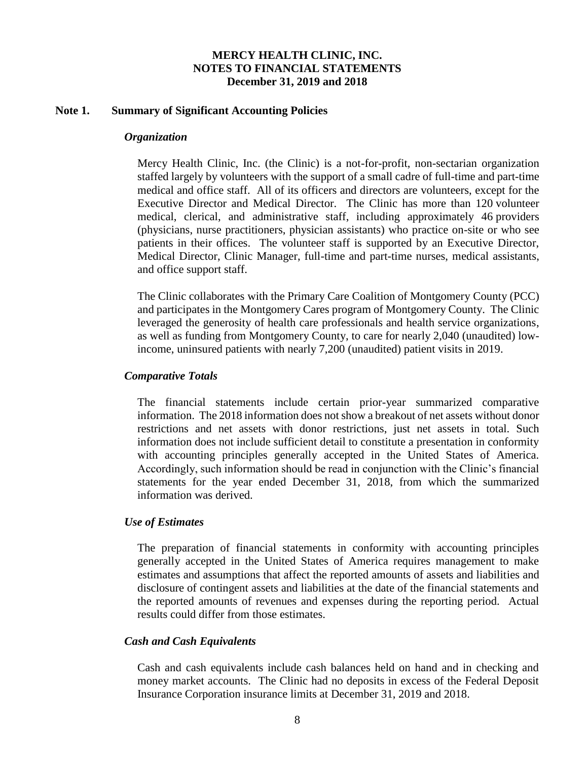#### **Note 1. Summary of Significant Accounting Policies**

#### *Organization*

Mercy Health Clinic, Inc. (the Clinic) is a not-for-profit, non-sectarian organization staffed largely by volunteers with the support of a small cadre of full-time and part-time medical and office staff. All of its officers and directors are volunteers, except for the Executive Director and Medical Director. The Clinic has more than 120 volunteer medical, clerical, and administrative staff, including approximately 46 providers (physicians, nurse practitioners, physician assistants) who practice on-site or who see patients in their offices. The volunteer staff is supported by an Executive Director, Medical Director, Clinic Manager, full-time and part-time nurses, medical assistants, and office support staff.

The Clinic collaborates with the Primary Care Coalition of Montgomery County (PCC) and participates in the Montgomery Cares program of Montgomery County. The Clinic leveraged the generosity of health care professionals and health service organizations, as well as funding from Montgomery County, to care for nearly 2,040 (unaudited) lowincome, uninsured patients with nearly 7,200 (unaudited) patient visits in 2019.

#### *Comparative Totals*

The financial statements include certain prior-year summarized comparative information. The 2018 information does not show a breakout of net assets without donor restrictions and net assets with donor restrictions, just net assets in total. Such information does not include sufficient detail to constitute a presentation in conformity with accounting principles generally accepted in the United States of America. Accordingly, such information should be read in conjunction with the Clinic's financial statements for the year ended December 31, 2018, from which the summarized information was derived.

#### *Use of Estimates*

The preparation of financial statements in conformity with accounting principles generally accepted in the United States of America requires management to make estimates and assumptions that affect the reported amounts of assets and liabilities and disclosure of contingent assets and liabilities at the date of the financial statements and the reported amounts of revenues and expenses during the reporting period. Actual results could differ from those estimates.

#### *Cash and Cash Equivalents*

Cash and cash equivalents include cash balances held on hand and in checking and money market accounts. The Clinic had no deposits in excess of the Federal Deposit Insurance Corporation insurance limits at December 31, 2019 and 2018.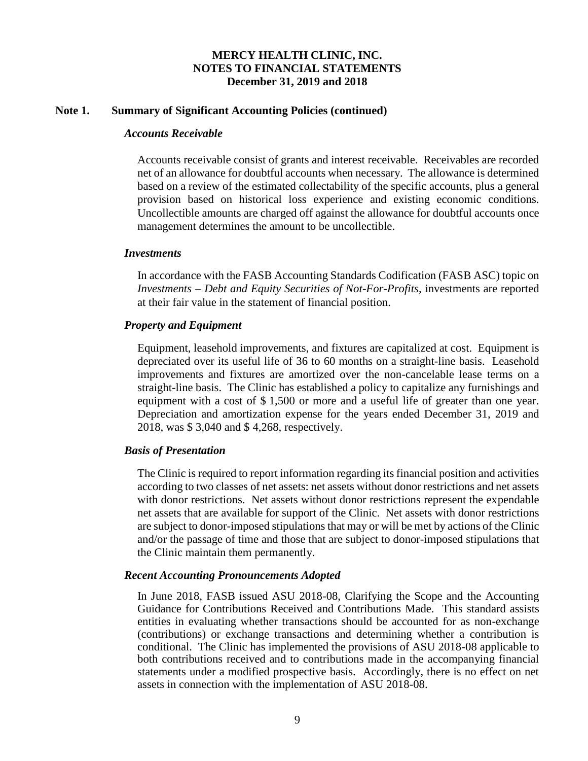#### **Note 1. Summary of Significant Accounting Policies (continued)**

#### *Accounts Receivable*

Accounts receivable consist of grants and interest receivable. Receivables are recorded net of an allowance for doubtful accounts when necessary. The allowance is determined based on a review of the estimated collectability of the specific accounts, plus a general provision based on historical loss experience and existing economic conditions. Uncollectible amounts are charged off against the allowance for doubtful accounts once management determines the amount to be uncollectible.

#### *Investments*

In accordance with the FASB Accounting Standards Codification (FASB ASC) topic on *Investments – Debt and Equity Securities of Not-For-Profits*, investments are reported at their fair value in the statement of financial position.

### *Property and Equipment*

Equipment, leasehold improvements, and fixtures are capitalized at cost. Equipment is depreciated over its useful life of 36 to 60 months on a straight-line basis. Leasehold improvements and fixtures are amortized over the non-cancelable lease terms on a straight-line basis. The Clinic has established a policy to capitalize any furnishings and equipment with a cost of \$ 1,500 or more and a useful life of greater than one year. Depreciation and amortization expense for the years ended December 31, 2019 and 2018, was \$ 3,040 and \$ 4,268, respectively.

### *Basis of Presentation*

The Clinic is required to report information regarding its financial position and activities according to two classes of net assets: net assets without donor restrictions and net assets with donor restrictions. Net assets without donor restrictions represent the expendable net assets that are available for support of the Clinic. Net assets with donor restrictions are subject to donor-imposed stipulations that may or will be met by actions of the Clinic and/or the passage of time and those that are subject to donor-imposed stipulations that the Clinic maintain them permanently.

#### *Recent Accounting Pronouncements Adopted*

In June 2018, FASB issued ASU 2018-08, Clarifying the Scope and the Accounting Guidance for Contributions Received and Contributions Made. This standard assists entities in evaluating whether transactions should be accounted for as non-exchange (contributions) or exchange transactions and determining whether a contribution is conditional. The Clinic has implemented the provisions of ASU 2018-08 applicable to both contributions received and to contributions made in the accompanying financial statements under a modified prospective basis. Accordingly, there is no effect on net assets in connection with the implementation of ASU 2018-08.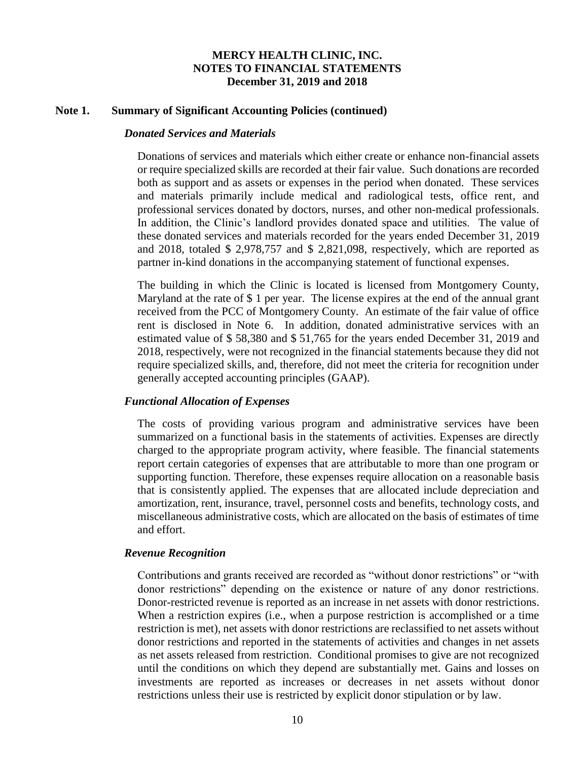#### **Note 1. Summary of Significant Accounting Policies (continued)**

#### *Donated Services and Materials*

Donations of services and materials which either create or enhance non-financial assets or require specialized skills are recorded at their fair value. Such donations are recorded both as support and as assets or expenses in the period when donated. These services and materials primarily include medical and radiological tests, office rent, and professional services donated by doctors, nurses, and other non-medical professionals. In addition, the Clinic's landlord provides donated space and utilities. The value of these donated services and materials recorded for the years ended December 31, 2019 and 2018, totaled \$ 2,978,757 and \$ 2,821,098, respectively, which are reported as partner in-kind donations in the accompanying statement of functional expenses.

The building in which the Clinic is located is licensed from Montgomery County, Maryland at the rate of \$1 per year. The license expires at the end of the annual grant received from the PCC of Montgomery County. An estimate of the fair value of office rent is disclosed in Note 6. In addition, donated administrative services with an estimated value of \$ 58,380 and \$ 51,765 for the years ended December 31, 2019 and 2018, respectively, were not recognized in the financial statements because they did not require specialized skills, and, therefore, did not meet the criteria for recognition under generally accepted accounting principles (GAAP).

#### *Functional Allocation of Expenses*

The costs of providing various program and administrative services have been summarized on a functional basis in the statements of activities. Expenses are directly charged to the appropriate program activity, where feasible. The financial statements report certain categories of expenses that are attributable to more than one program or supporting function. Therefore, these expenses require allocation on a reasonable basis that is consistently applied. The expenses that are allocated include depreciation and amortization, rent, insurance, travel, personnel costs and benefits, technology costs, and miscellaneous administrative costs, which are allocated on the basis of estimates of time and effort.

#### *Revenue Recognition*

Contributions and grants received are recorded as "without donor restrictions" or "with donor restrictions" depending on the existence or nature of any donor restrictions. Donor-restricted revenue is reported as an increase in net assets with donor restrictions. When a restriction expires (i.e., when a purpose restriction is accomplished or a time restriction is met), net assets with donor restrictions are reclassified to net assets without donor restrictions and reported in the statements of activities and changes in net assets as net assets released from restriction. Conditional promises to give are not recognized until the conditions on which they depend are substantially met. Gains and losses on investments are reported as increases or decreases in net assets without donor restrictions unless their use is restricted by explicit donor stipulation or by law.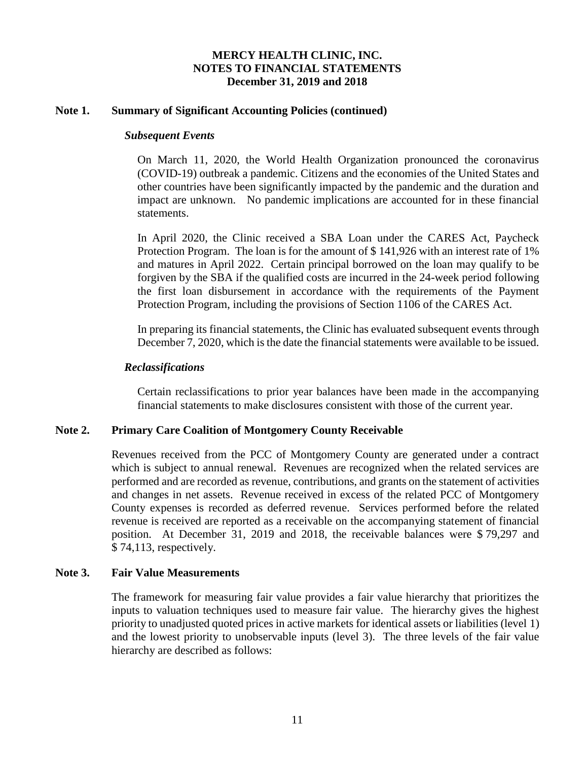#### **Note 1. Summary of Significant Accounting Policies (continued)**

#### *Subsequent Events*

On March 11, 2020, the World Health Organization pronounced the coronavirus (COVID-19) outbreak a pandemic. Citizens and the economies of the United States and other countries have been significantly impacted by the pandemic and the duration and impact are unknown. No pandemic implications are accounted for in these financial statements.

In April 2020, the Clinic received a SBA Loan under the CARES Act, Paycheck Protection Program. The loan is for the amount of \$ 141,926 with an interest rate of 1% and matures in April 2022. Certain principal borrowed on the loan may qualify to be forgiven by the SBA if the qualified costs are incurred in the 24-week period following the first loan disbursement in accordance with the requirements of the Payment Protection Program, including the provisions of Section 1106 of the CARES Act.

In preparing its financial statements, the Clinic has evaluated subsequent events through December 7, 2020, which is the date the financial statements were available to be issued.

#### *Reclassifications*

Certain reclassifications to prior year balances have been made in the accompanying financial statements to make disclosures consistent with those of the current year.

### **Note 2. Primary Care Coalition of Montgomery County Receivable**

Revenues received from the PCC of Montgomery County are generated under a contract which is subject to annual renewal. Revenues are recognized when the related services are performed and are recorded as revenue, contributions, and grants on the statement of activities and changes in net assets. Revenue received in excess of the related PCC of Montgomery County expenses is recorded as deferred revenue. Services performed before the related revenue is received are reported as a receivable on the accompanying statement of financial position. At December 31, 2019 and 2018, the receivable balances were \$ 79,297 and \$ 74,113, respectively.

#### **Note 3. Fair Value Measurements**

The framework for measuring fair value provides a fair value hierarchy that prioritizes the inputs to valuation techniques used to measure fair value. The hierarchy gives the highest priority to unadjusted quoted prices in active markets for identical assets or liabilities (level 1) and the lowest priority to unobservable inputs (level 3). The three levels of the fair value hierarchy are described as follows: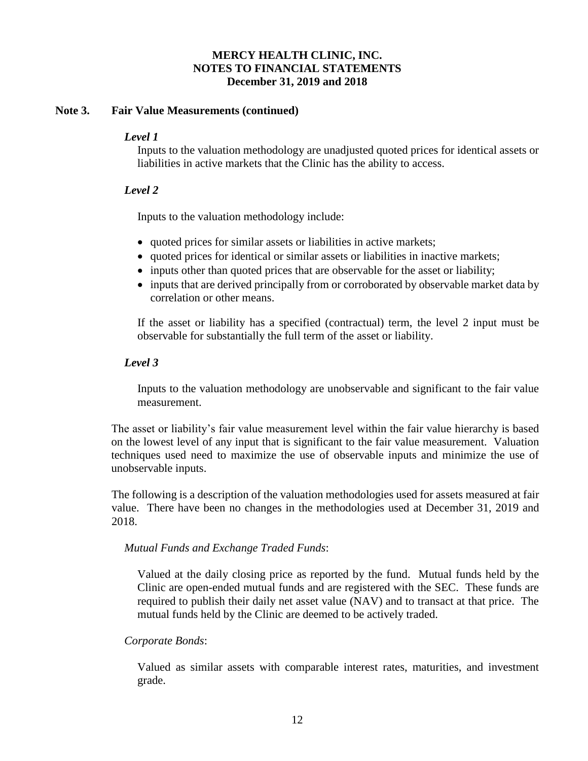### **Note 3. Fair Value Measurements (continued)**

### *Level 1*

Inputs to the valuation methodology are unadjusted quoted prices for identical assets or liabilities in active markets that the Clinic has the ability to access.

### *Level 2*

Inputs to the valuation methodology include:

- quoted prices for similar assets or liabilities in active markets;
- quoted prices for identical or similar assets or liabilities in inactive markets;
- inputs other than quoted prices that are observable for the asset or liability;
- inputs that are derived principally from or corroborated by observable market data by correlation or other means.

If the asset or liability has a specified (contractual) term, the level 2 input must be observable for substantially the full term of the asset or liability.

### *Level 3*

Inputs to the valuation methodology are unobservable and significant to the fair value measurement.

The asset or liability's fair value measurement level within the fair value hierarchy is based on the lowest level of any input that is significant to the fair value measurement. Valuation techniques used need to maximize the use of observable inputs and minimize the use of unobservable inputs.

The following is a description of the valuation methodologies used for assets measured at fair value. There have been no changes in the methodologies used at December 31, 2019 and 2018.

### *Mutual Funds and Exchange Traded Funds*:

Valued at the daily closing price as reported by the fund. Mutual funds held by the Clinic are open-ended mutual funds and are registered with the SEC. These funds are required to publish their daily net asset value (NAV) and to transact at that price. The mutual funds held by the Clinic are deemed to be actively traded.

### *Corporate Bonds*:

Valued as similar assets with comparable interest rates, maturities, and investment grade.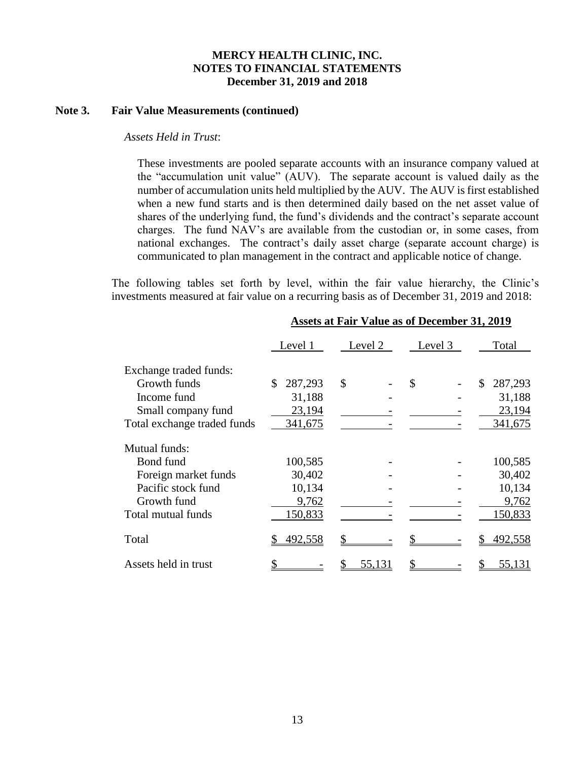#### **Note 3. Fair Value Measurements (continued)**

#### *Assets Held in Trust*:

These investments are pooled separate accounts with an insurance company valued at the "accumulation unit value" (AUV). The separate account is valued daily as the number of accumulation units held multiplied by the AUV. The AUV is first established when a new fund starts and is then determined daily based on the net asset value of shares of the underlying fund, the fund's dividends and the contract's separate account charges. The fund NAV's are available from the custodian or, in some cases, from national exchanges. The contract's daily asset charge (separate account charge) is communicated to plan management in the contract and applicable notice of change.

The following tables set forth by level, within the fair value hierarchy, the Clinic's investments measured at fair value on a recurring basis as of December 31, 2019 and 2018:

|                             | Level 1       | Level 2 | Level 3 | Total         |
|-----------------------------|---------------|---------|---------|---------------|
| Exchange traded funds:      |               |         |         |               |
| Growth funds                | 287,293<br>\$ | \$      | \$      | 287,293<br>\$ |
| Income fund                 | 31,188        |         |         | 31,188        |
| Small company fund          | 23,194        |         |         | 23,194        |
| Total exchange traded funds | 341,675       |         |         | 341,675       |
| Mutual funds:               |               |         |         |               |
| Bond fund                   | 100,585       |         |         | 100,585       |
| Foreign market funds        | 30,402        |         |         | 30,402        |
| Pacific stock fund          | 10,134        |         |         | 10,134        |
| Growth fund                 | 9,762         |         |         | 9,762         |
| Total mutual funds          | 150,833       |         |         | 150,833       |
| Total                       | 492,558       |         |         | 492,558       |
| Assets held in trust        |               | 55,131  |         | 55,131        |

#### **Assets at Fair Value as of December 31, 2019**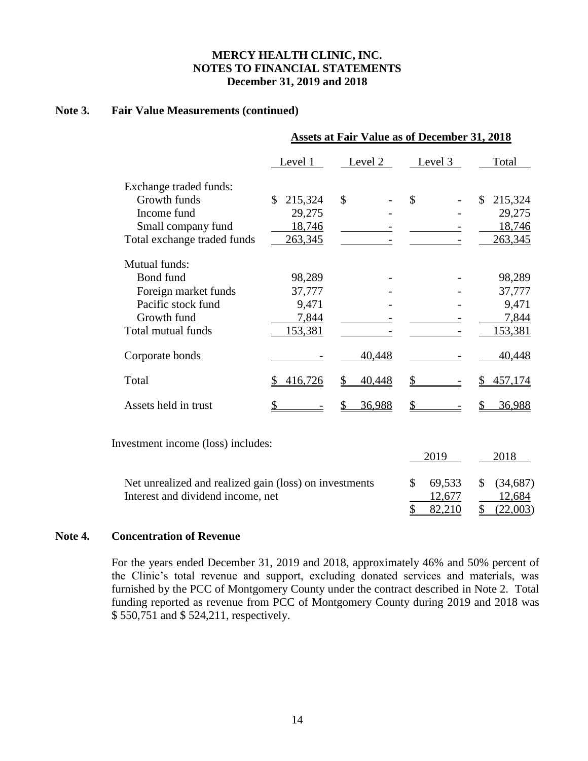### **Note 3. Fair Value Measurements (continued)**

|                             |               |               | <b>Assets at Fair Value as of December 31, 2018</b> |               |
|-----------------------------|---------------|---------------|-----------------------------------------------------|---------------|
|                             | Level 1       | Level 2       | Level 3                                             | Total         |
| Exchange traded funds:      |               |               |                                                     |               |
| Growth funds                | 215,324<br>\$ | \$            | \$                                                  | \$<br>215,324 |
| Income fund                 | 29,275        |               |                                                     | 29,275        |
| Small company fund          | 18,746        |               |                                                     | 18,746        |
| Total exchange traded funds | 263,345       |               |                                                     | 263,345       |
| Mutual funds:               |               |               |                                                     |               |
| Bond fund                   | 98,289        |               |                                                     | 98,289        |
| Foreign market funds        | 37,777        |               |                                                     | 37,777        |
| Pacific stock fund          | 9,471         |               |                                                     | 9,471         |
| Growth fund                 | 7,844         |               |                                                     | 7,844         |
| Total mutual funds          | 153,381       |               |                                                     | 153,381       |
| Corporate bonds             |               | 40,448        |                                                     | 40,448        |
| Total                       | 416,726       | 40,448        |                                                     | 457,174       |
| Assets held in trust        |               | <u>36,988</u> | \$                                                  | 36,988        |
|                             |               |               |                                                     |               |

Investment income (loss) includes:

|                                                        |               |                    | 2018     |
|--------------------------------------------------------|---------------|--------------------|----------|
| Net unrealized and realized gain (loss) on investments | $\mathcal{S}$ | 69,533 \$ (34,687) |          |
| Interest and dividend income, net                      |               | 12.677             | 12.684   |
|                                                        |               |                    | (22,003) |

### **Note 4. Concentration of Revenue**

For the years ended December 31, 2019 and 2018, approximately 46% and 50% percent of the Clinic's total revenue and support, excluding donated services and materials, was furnished by the PCC of Montgomery County under the contract described in Note 2. Total funding reported as revenue from PCC of Montgomery County during 2019 and 2018 was \$ 550,751 and \$ 524,211, respectively.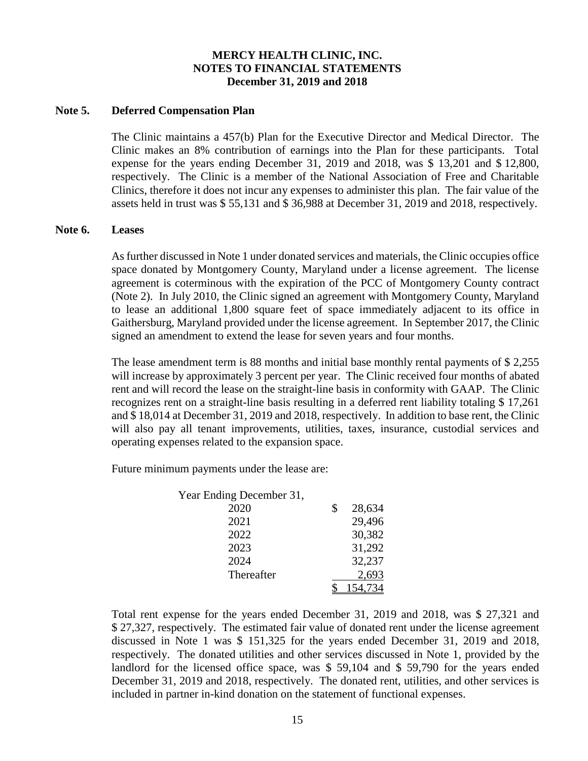#### **Note 5. Deferred Compensation Plan**

The Clinic maintains a 457(b) Plan for the Executive Director and Medical Director. The Clinic makes an 8% contribution of earnings into the Plan for these participants. Total expense for the years ending December 31, 2019 and 2018, was \$ 13,201 and \$ 12,800, respectively. The Clinic is a member of the National Association of Free and Charitable Clinics, therefore it does not incur any expenses to administer this plan. The fair value of the assets held in trust was \$ 55,131 and \$ 36,988 at December 31, 2019 and 2018, respectively.

#### **Note 6. Leases**

As further discussed in Note 1 under donated services and materials, the Clinic occupies office space donated by Montgomery County, Maryland under a license agreement. The license agreement is coterminous with the expiration of the PCC of Montgomery County contract (Note 2). In July 2010, the Clinic signed an agreement with Montgomery County, Maryland to lease an additional 1,800 square feet of space immediately adjacent to its office in Gaithersburg, Maryland provided under the license agreement. In September 2017, the Clinic signed an amendment to extend the lease for seven years and four months.

The lease amendment term is 88 months and initial base monthly rental payments of \$ 2,255 will increase by approximately 3 percent per year. The Clinic received four months of abated rent and will record the lease on the straight-line basis in conformity with GAAP. The Clinic recognizes rent on a straight-line basis resulting in a deferred rent liability totaling \$ 17,261 and \$ 18,014 at December 31, 2019 and 2018, respectively. In addition to base rent, the Clinic will also pay all tenant improvements, utilities, taxes, insurance, custodial services and operating expenses related to the expansion space.

Future minimum payments under the lease are:

| Year Ending December 31, |              |
|--------------------------|--------------|
| 2020                     | \$<br>28,634 |
| 2021                     | 29,496       |
| 2022                     | 30,382       |
| 2023                     | 31,292       |
| 2024                     | 32,237       |
| Thereafter               | 2,693        |
|                          |              |

Total rent expense for the years ended December 31, 2019 and 2018, was \$ 27,321 and \$ 27,327, respectively. The estimated fair value of donated rent under the license agreement discussed in Note 1 was \$ 151,325 for the years ended December 31, 2019 and 2018, respectively. The donated utilities and other services discussed in Note 1, provided by the landlord for the licensed office space, was \$ 59,104 and \$ 59,790 for the years ended December 31, 2019 and 2018, respectively. The donated rent, utilities, and other services is included in partner in-kind donation on the statement of functional expenses.